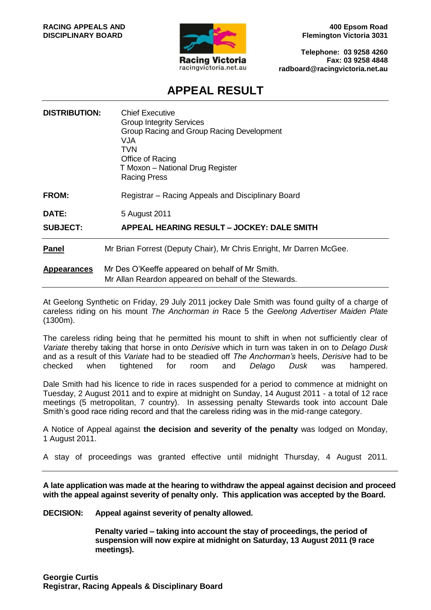

**400 Epsom Road Flemington Victoria 3031**

**Telephone: 03 9258 4260 Fax: 03 9258 4848 radboard@racingvictoria.net.au**

# **APPEAL RESULT**

| <b>DISTRIBUTION:</b> | <b>Chief Executive</b><br><b>Group Integrity Services</b><br>Group Racing and Group Racing Development<br>VJA<br>TVN<br>Office of Racing<br>T Moxon - National Drug Register<br><b>Racing Press</b> |
|----------------------|-----------------------------------------------------------------------------------------------------------------------------------------------------------------------------------------------------|
| <b>FROM:</b>         | Registrar – Racing Appeals and Disciplinary Board                                                                                                                                                   |
| DATE:                | 5 August 2011                                                                                                                                                                                       |
| <b>SUBJECT:</b>      | APPEAL HEARING RESULT - JOCKEY: DALE SMITH                                                                                                                                                          |
| <b>Panel</b>         | Mr Brian Forrest (Deputy Chair), Mr Chris Enright, Mr Darren McGee.                                                                                                                                 |
| <b>Appearances</b>   | Mr Des O'Keeffe appeared on behalf of Mr Smith.<br>Mr Allan Reardon appeared on behalf of the Stewards.                                                                                             |

At Geelong Synthetic on Friday, 29 July 2011 jockey Dale Smith was found guilty of a charge of careless riding on his mount *The Anchorman in* Race 5 the *Geelong Advertiser Maiden Plate* (1300m).

The careless riding being that he permitted his mount to shift in when not sufficiently clear of *Variate* thereby taking that horse in onto *Derisive* which in turn was taken in on to *Delago Dusk* and as a result of this *Variate* had to be steadied off *The Anchorman's* heels, *Derisive* had to be checked when tightened for room and *Delago Dusk* was hampered.

Dale Smith had his licence to ride in races suspended for a period to commence at midnight on Tuesday, 2 August 2011 and to expire at midnight on Sunday, 14 August 2011 - a total of 12 race meetings (5 metropolitan, 7 country). In assessing penalty Stewards took into account Dale Smith's good race riding record and that the careless riding was in the mid-range category.

A Notice of Appeal against **the decision and severity of the penalty** was lodged on Monday, 1 August 2011.

A stay of proceedings was granted effective until midnight Thursday, 4 August 2011.

**A late application was made at the hearing to withdraw the appeal against decision and proceed with the appeal against severity of penalty only. This application was accepted by the Board.**

**DECISION: Appeal against severity of penalty allowed.**

**Penalty varied – taking into account the stay of proceedings, the period of suspension will now expire at midnight on Saturday, 13 August 2011 (9 race meetings).**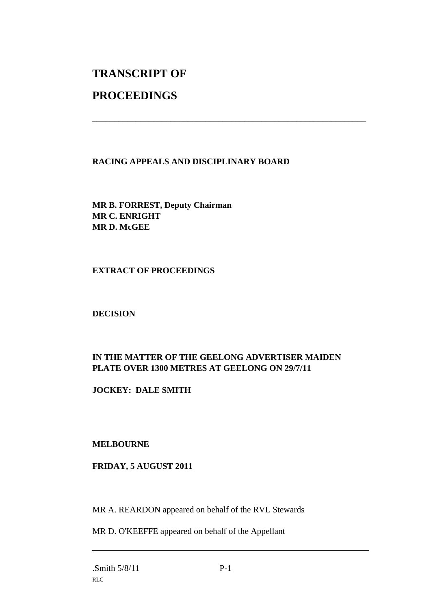# **TRANSCRIPT OF**

# **PROCEEDINGS**

## **RACING APPEALS AND DISCIPLINARY BOARD**

\_\_\_\_\_\_\_\_\_\_\_\_\_\_\_\_\_\_\_\_\_\_\_\_\_\_\_\_\_\_\_\_\_\_\_\_\_\_\_\_\_\_\_\_\_\_\_\_\_\_\_\_\_\_\_\_\_\_\_\_\_\_\_

**MR B. FORREST, Deputy Chairman MR C. ENRIGHT MR D. McGEE**

### **EXTRACT OF PROCEEDINGS**

# **DECISION**

# **IN THE MATTER OF THE GEELONG ADVERTISER MAIDEN PLATE OVER 1300 METRES AT GEELONG ON 29/7/11**

# **JOCKEY: DALE SMITH**

### **MELBOURNE**

### **FRIDAY, 5 AUGUST 2011**

MR A. REARDON appeared on behalf of the RVL Stewards

MR D. O'KEEFFE appeared on behalf of the Appellant